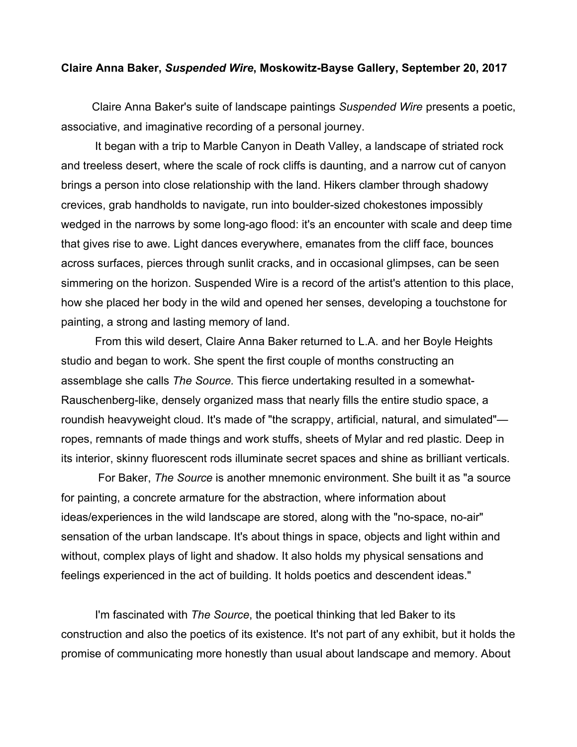## **Claire Anna Baker,** *Suspended Wire***, Moskowitz-Bayse Gallery, September 20, 2017**

Claire Anna Baker's suite of landscape paintings *Suspended Wire* presents a poetic, associative, and imaginative recording of a personal journey.

It began with a trip to Marble Canyon in Death Valley, a landscape of striated rock and treeless desert, where the scale of rock cliffs is daunting, and a narrow cut of canyon brings a person into close relationship with the land. Hikers clamber through shadowy crevices, grab handholds to navigate, run into boulder-sized chokestones impossibly wedged in the narrows by some long-ago flood: it's an encounter with scale and deep time that gives rise to awe. Light dances everywhere, emanates from the cliff face, bounces across surfaces, pierces through sunlit cracks, and in occasional glimpses, can be seen simmering on the horizon. Suspended Wire is a record of the artist's attention to this place, how she placed her body in the wild and opened her senses, developing a touchstone for painting, a strong and lasting memory of land.

From this wild desert, Claire Anna Baker returned to L.A. and her Boyle Heights studio and began to work. She spent the first couple of months constructing an assemblage she calls *The Source.* This fierce undertaking resulted in a somewhat-Rauschenberg-like, densely organized mass that nearly fills the entire studio space, a roundish heavyweight cloud. It's made of "the scrappy, artificial, natural, and simulated" ropes, remnants of made things and work stuffs, sheets of Mylar and red plastic. Deep in its interior, skinny fluorescent rods illuminate secret spaces and shine as brilliant verticals.

For Baker, *The Source* is another mnemonic environment. She built it as "a source for painting, a concrete armature for the abstraction, where information about ideas/experiences in the wild landscape are stored, along with the "no-space, no-air" sensation of the urban landscape. It's about things in space, objects and light within and without, complex plays of light and shadow. It also holds my physical sensations and feelings experienced in the act of building. It holds poetics and descendent ideas."

I'm fascinated with *The Source*, the poetical thinking that led Baker to its construction and also the poetics of its existence. It's not part of any exhibit, but it holds the promise of communicating more honestly than usual about landscape and memory. About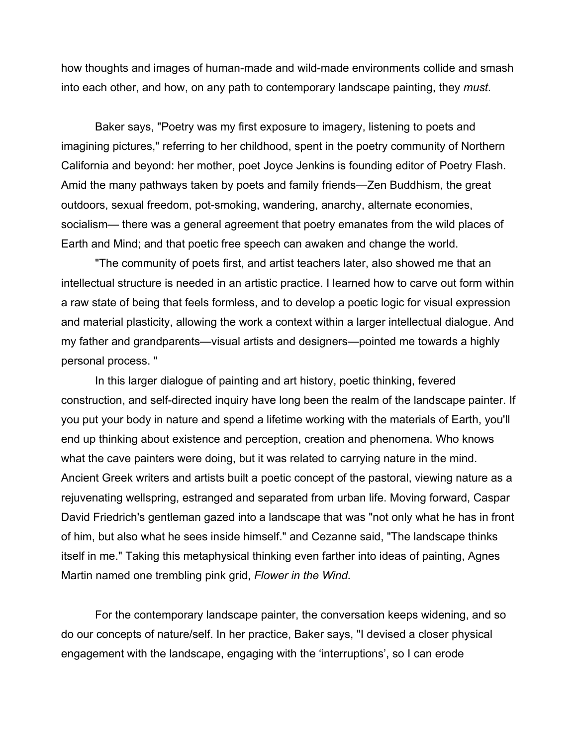how thoughts and images of human-made and wild-made environments collide and smash into each other, and how, on any path to contemporary landscape painting, they *must*.

Baker says, "Poetry was my first exposure to imagery, listening to poets and imagining pictures," referring to her childhood, spent in the poetry community of Northern California and beyond: her mother, poet Joyce Jenkins is founding editor of Poetry Flash. Amid the many pathways taken by poets and family friends—Zen Buddhism, the great outdoors, sexual freedom, pot-smoking, wandering, anarchy, alternate economies, socialism— there was a general agreement that poetry emanates from the wild places of Earth and Mind; and that poetic free speech can awaken and change the world.

"The community of poets first, and artist teachers later, also showed me that an intellectual structure is needed in an artistic practice. I learned how to carve out form within a raw state of being that feels formless, and to develop a poetic logic for visual expression and material plasticity, allowing the work a context within a larger intellectual dialogue. And my father and grandparents—visual artists and designers—pointed me towards a highly personal process. "

In this larger dialogue of painting and art history, poetic thinking, fevered construction, and self-directed inquiry have long been the realm of the landscape painter. If you put your body in nature and spend a lifetime working with the materials of Earth, you'll end up thinking about existence and perception, creation and phenomena. Who knows what the cave painters were doing, but it was related to carrying nature in the mind. Ancient Greek writers and artists built a poetic concept of the pastoral, viewing nature as a rejuvenating wellspring, estranged and separated from urban life. Moving forward, Caspar David Friedrich's gentleman gazed into a landscape that was "not only what he has in front of him, but also what he sees inside himself." and Cezanne said, "The landscape thinks itself in me." Taking this metaphysical thinking even farther into ideas of painting, Agnes Martin named one trembling pink grid, *Flower in the Wind.* 

For the contemporary landscape painter, the conversation keeps widening, and so do our concepts of nature/self. In her practice, Baker says, "I devised a closer physical engagement with the landscape, engaging with the 'interruptions', so I can erode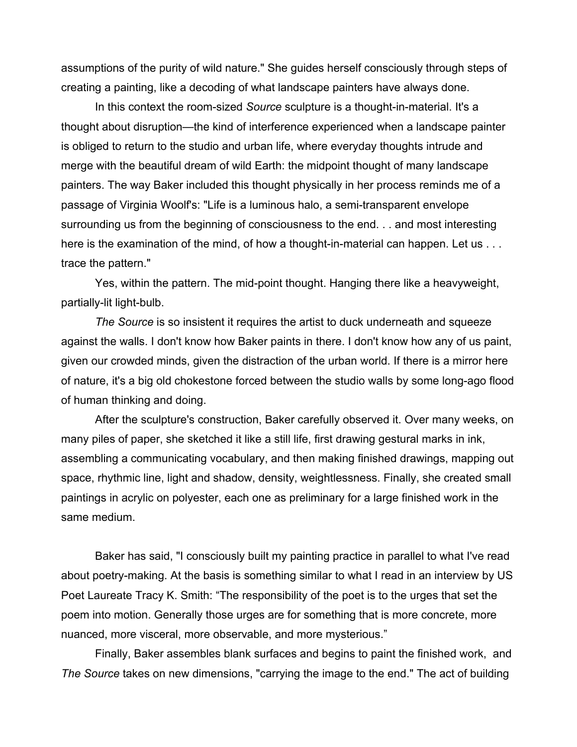assumptions of the purity of wild nature." She guides herself consciously through steps of creating a painting, like a decoding of what landscape painters have always done.

In this context the room-sized *Source* sculpture is a thought-in-material. It's a thought about disruption—the kind of interference experienced when a landscape painter is obliged to return to the studio and urban life, where everyday thoughts intrude and merge with the beautiful dream of wild Earth: the midpoint thought of many landscape painters. The way Baker included this thought physically in her process reminds me of a passage of Virginia Woolf's: "Life is a luminous halo, a semi-transparent envelope surrounding us from the beginning of consciousness to the end. . . and most interesting here is the examination of the mind, of how a thought-in-material can happen. Let us . . . trace the pattern."

Yes, within the pattern. The mid-point thought. Hanging there like a heavyweight, partially-lit light-bulb.

*The Source* is so insistent it requires the artist to duck underneath and squeeze against the walls. I don't know how Baker paints in there. I don't know how any of us paint, given our crowded minds, given the distraction of the urban world. If there is a mirror here of nature, it's a big old chokestone forced between the studio walls by some long-ago flood of human thinking and doing.

After the sculpture's construction, Baker carefully observed it. Over many weeks, on many piles of paper, she sketched it like a still life, first drawing gestural marks in ink, assembling a communicating vocabulary, and then making finished drawings, mapping out space, rhythmic line, light and shadow, density, weightlessness. Finally, she created small paintings in acrylic on polyester, each one as preliminary for a large finished work in the same medium.

Baker has said, "I consciously built my painting practice in parallel to what I've read about poetry-making. At the basis is something similar to what I read in an interview by US Poet Laureate Tracy K. Smith: "The responsibility of the poet is to the urges that set the poem into motion. Generally those urges are for something that is more concrete, more nuanced, more visceral, more observable, and more mysterious."

Finally, Baker assembles blank surfaces and begins to paint the finished work, and *The Source* takes on new dimensions, "carrying the image to the end." The act of building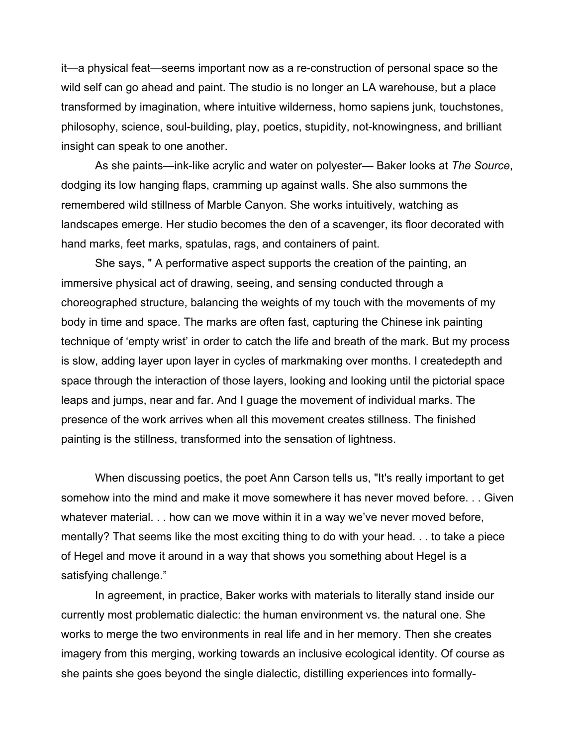it—a physical feat—seems important now as a re-construction of personal space so the wild self can go ahead and paint. The studio is no longer an LA warehouse, but a place transformed by imagination, where intuitive wilderness, homo sapiens junk, touchstones, philosophy, science, soul-building, play, poetics, stupidity, not-knowingness, and brilliant insight can speak to one another.

As she paints—ink-like acrylic and water on polyester— Baker looks at *The Source*, dodging its low hanging flaps, cramming up against walls. She also summons the remembered wild stillness of Marble Canyon. She works intuitively, watching as landscapes emerge. Her studio becomes the den of a scavenger, its floor decorated with hand marks, feet marks, spatulas, rags, and containers of paint.

She says, " A performative aspect supports the creation of the painting, an immersive physical act of drawing, seeing, and sensing conducted through a choreographed structure, balancing the weights of my touch with the movements of my body in time and space. The marks are often fast, capturing the Chinese ink painting technique of 'empty wrist' in order to catch the life and breath of the mark. But my process is slow, adding layer upon layer in cycles of markmaking over months. I createdepth and space through the interaction of those layers, looking and looking until the pictorial space leaps and jumps, near and far. And I guage the movement of individual marks. The presence of the work arrives when all this movement creates stillness. The finished painting is the stillness, transformed into the sensation of lightness.

When discussing poetics, the poet Ann Carson tells us, "It's really important to get somehow into the mind and make it move somewhere it has never moved before. . . Given whatever material. . . how can we move within it in a way we've never moved before, mentally? That seems like the most exciting thing to do with your head. . . to take a piece of Hegel and move it around in a way that shows you something about Hegel is a satisfying challenge."

In agreement, in practice, Baker works with materials to literally stand inside our currently most problematic dialectic: the human environment vs. the natural one. She works to merge the two environments in real life and in her memory. Then she creates imagery from this merging, working towards an inclusive ecological identity. Of course as she paints she goes beyond the single dialectic, distilling experiences into formally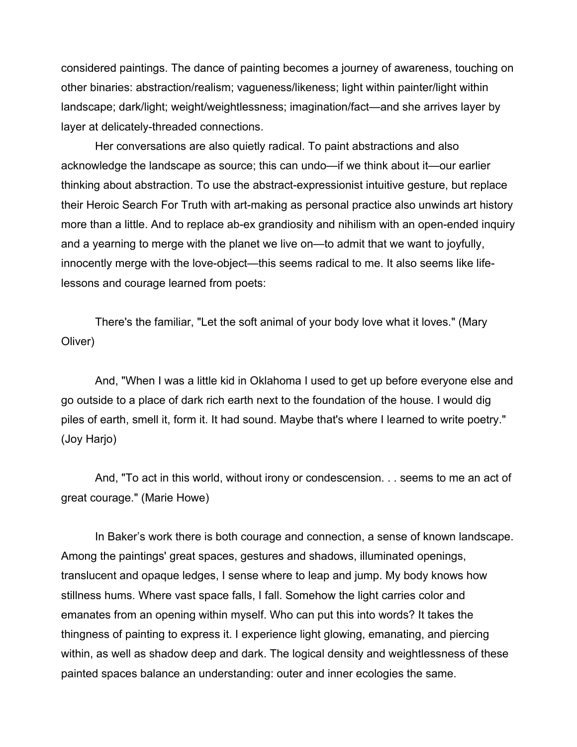considered paintings. The dance of painting becomes a journey of awareness, touching on other binaries: abstraction/realism; vagueness/likeness; light within painter/light within landscape; dark/light; weight/weightlessness; imagination/fact—and she arrives layer by layer at delicately-threaded connections.

Her conversations are also quietly radical. To paint abstractions and also acknowledge the landscape as source; this can undo—if we think about it—our earlier thinking about abstraction. To use the abstract-expressionist intuitive gesture, but replace their Heroic Search For Truth with art-making as personal practice also unwinds art history more than a little. And to replace ab-ex grandiosity and nihilism with an open-ended inquiry and a yearning to merge with the planet we live on—to admit that we want to joyfully, innocently merge with the love-object—this seems radical to me. It also seems like lifelessons and courage learned from poets:

There's the familiar, "Let the soft animal of your body love what it loves." (Mary Oliver)

And, "When I was a little kid in Oklahoma I used to get up before everyone else and go outside to a place of dark rich earth next to the foundation of the house. I would dig piles of earth, smell it, form it. It had sound. Maybe that's where I learned to write poetry." (Joy Harjo)

And, "To act in this world, without irony or condescension. . . seems to me an act of great courage." (Marie Howe)

In Baker's work there is both courage and connection, a sense of known landscape. Among the paintings' great spaces, gestures and shadows, illuminated openings, translucent and opaque ledges, I sense where to leap and jump. My body knows how stillness hums. Where vast space falls, I fall. Somehow the light carries color and emanates from an opening within myself. Who can put this into words? It takes the thingness of painting to express it. I experience light glowing, emanating, and piercing within, as well as shadow deep and dark. The logical density and weightlessness of these painted spaces balance an understanding: outer and inner ecologies the same.